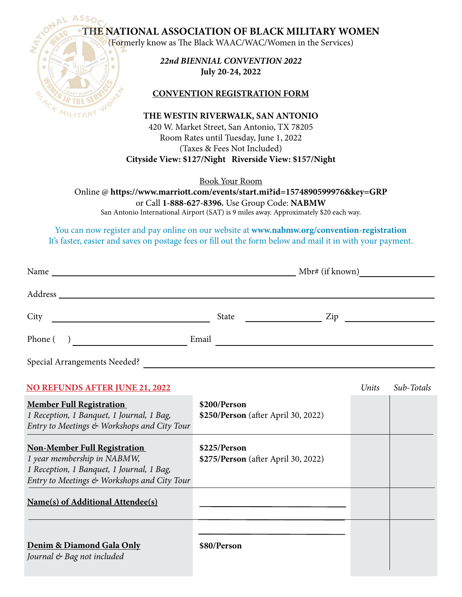**THE NATIONAL ASSOCIATION OF BLACK MILITARY WOMEN** 

(Formerly know as The Black WAAC/WAC/Women in the Services)



*22nd BIENNIAL CONVENTION 2022* **July 20-24, 2022**

## **CONVENTION REGISTRATION FORM**

**THE WESTIN RIVERWALK, SAN ANTONIO**

420 W. Market Street, San Antonio, TX 78205 Room Rates until Tuesday, June 1, 2022 (Taxes & Fees Not Included) **Cityside View: \$127/Night Riverside View: \$157/Night**

Book Your Room

Online @ **https://www.marriott.com/events/start.mi?id=1574890599976&key=GRP** or Call **1-888-627-8396.** Use Group Code: **NABMW** San Antonio International Airport (SAT) is 9 miles away. Approximately \$20 each way.

You can now register and pay online on our website at **www.nabmw.org/convention-registration** It's faster, easier and saves on postage fees or fill out the form below and mail it in with your payment.

| Name    |       |                                                                                                                              | Mbr# (if known) |  |
|---------|-------|------------------------------------------------------------------------------------------------------------------------------|-----------------|--|
| Address |       |                                                                                                                              |                 |  |
| City    | State | Zip<br><u>and the state of the state of the state of the state of the state of the state of the state of the state of th</u> |                 |  |
| Phone ( | Email |                                                                                                                              |                 |  |
|         |       |                                                                                                                              |                 |  |

Special Arrangements Needed?

| <b>NO REFUNDS AFTER JUNE 21, 2022</b>                                                                                                                          |                                                     | Units | Sub-Totals |
|----------------------------------------------------------------------------------------------------------------------------------------------------------------|-----------------------------------------------------|-------|------------|
| <b>Member Full Registration</b><br>1 Reception, 1 Banquet, 1 Journal, 1 Bag,<br>Entry to Meetings & Workshops and City Tour                                    | \$200/Person<br>\$250/Person (after April 30, 2022) |       |            |
| <b>Non-Member Full Registration</b><br>1 year membership in NABMW,<br>1 Reception, 1 Banquet, 1 Journal, 1 Bag,<br>Entry to Meetings & Workshops and City Tour | \$225/Person<br>\$275/Person (after April 30, 2022) |       |            |
| Name(s) of Additional Attendee(s)                                                                                                                              |                                                     |       |            |
| Denim & Diamond Gala Only<br>Journal & Bag not included                                                                                                        | \$80/Person                                         |       |            |